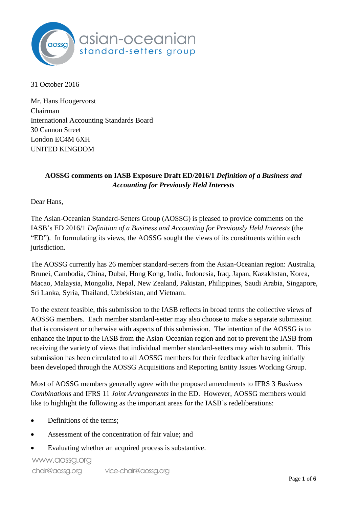

31 October 2016

Mr. Hans Hoogervorst Chairman International Accounting Standards Board 30 Cannon Street London EC4M 6XH UNITED KINGDOM

# **AOSSG comments on IASB Exposure Draft ED/2016/1** *Definition of a Business and Accounting for Previously Held Interests*

Dear Hans,

The Asian-Oceanian Standard-Setters Group (AOSSG) is pleased to provide comments on the IASB's ED 2016/1 *Definition of a Business and Accounting for Previously Held Interests* (the "ED"). In formulating its views, the AOSSG sought the views of its constituents within each jurisdiction.

The AOSSG currently has 26 member standard-setters from the Asian-Oceanian region: Australia, Brunei, Cambodia, China, Dubai, Hong Kong, India, Indonesia, Iraq, Japan, Kazakhstan, Korea, Macao, Malaysia, Mongolia, Nepal, New Zealand, Pakistan, Philippines, Saudi Arabia, Singapore, Sri Lanka, Syria, Thailand, Uzbekistan, and Vietnam.

To the extent feasible, this submission to the IASB reflects in broad terms the collective views of AOSSG members. Each member standard-setter may also choose to make a separate submission that is consistent or otherwise with aspects of this submission. The intention of the AOSSG is to enhance the input to the IASB from the Asian-Oceanian region and not to prevent the IASB from receiving the variety of views that individual member standard-setters may wish to submit. This submission has been circulated to all AOSSG members for their feedback after having initially been developed through the AOSSG Acquisitions and Reporting Entity Issues Working Group.

Most of AOSSG members generally agree with the proposed amendments to IFRS 3 *Business Combinations* and IFRS 11 *Joint Arrangements* in the ED. However, AOSSG members would like to highlight the following as the important areas for the IASB's redeliberations:

- Definitions of the terms;
- Assessment of the concentration of fair value; and
- Evaluating whether an acquired process is substantive.

www.aossg.org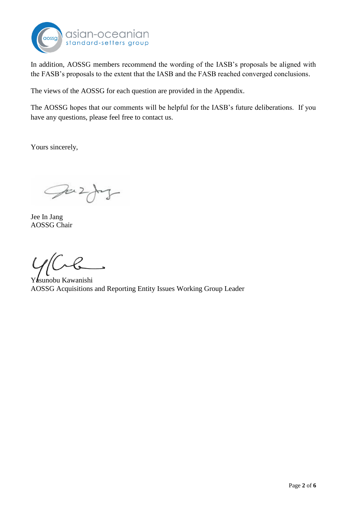

In addition, AOSSG members recommend the wording of the IASB's proposals be aligned with the FASB's proposals to the extent that the IASB and the FASB reached converged conclusions.

The views of the AOSSG for each question are provided in the Appendix.

The AOSSG hopes that our comments will be helpful for the IASB's future deliberations. If you have any questions, please feel free to contact us.

Yours sincerely,

Juz 7

Jee In Jang AOSSG Chair

Yasunobu Kawanishi AOSSG Acquisitions and Reporting Entity Issues Working Group Leader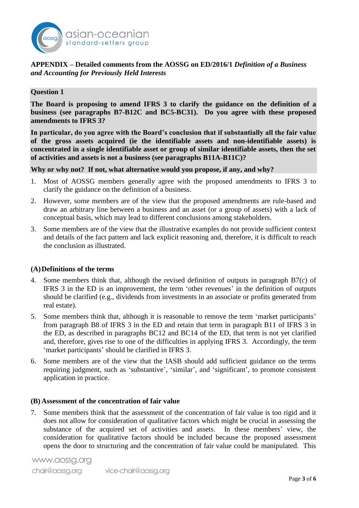

## **APPENDIX – Detailed comments from the AOSSG on ED/2016/1** *Definition of a Business and Accounting for Previously Held Interests*

## **Question 1**

**The Board is proposing to amend IFRS 3 to clarify the guidance on the definition of a business (see paragraphs B7-B12C and BC5-BC31). Do you agree with these proposed amendments to IFRS 3?**

**In particular, do you agree with the Board's conclusion that if substantially all the fair value of the gross assets acquired (ie the identifiable assets and non-identifiable assets) is concentrated in a single identifiable asset or group of similar identifiable assets, then the set of activities and assets is not a business (see paragraphs B11A-B11C)?**

## **Why or why not? If not, what alternative would you propose, if any, and why?**

- 1. Most of AOSSG members generally agree with the proposed amendments to IFRS 3 to clarify the guidance on the definition of a business.
- 2. However, some members are of the view that the proposed amendments are rule-based and draw an arbitrary line between a business and an asset (or a group of assets) with a lack of conceptual basis, which may lead to different conclusions among stakeholders.
- 3. Some members are of the view that the illustrative examples do not provide sufficient context and details of the fact pattern and lack explicit reasoning and, therefore, it is difficult to reach the conclusion as illustrated.

## **(A)Definitions of the terms**

- 4. Some members think that, although the revised definition of outputs in paragraph B7(c) of IFRS 3 in the ED is an improvement, the term 'other revenues' in the definition of outputs should be clarified (e.g., dividends from investments in an associate or profits generated from real estate).
- 5. Some members think that, although it is reasonable to remove the term 'market participants' from paragraph B8 of IFRS 3 in the ED and retain that term in paragraph B11 of IFRS 3 in the ED, as described in paragraphs BC12 and BC14 of the ED, that term is not yet clarified and, therefore, gives rise to one of the difficulties in applying IFRS 3. Accordingly, the term 'market participants' should be clarified in IFRS 3.
- 6. Some members are of the view that the IASB should add sufficient guidance on the terms requiring judgment, such as 'substantive', 'similar', and 'significant', to promote consistent application in practice.

#### **(B) Assessment of the concentration of fair value**

7. Some members think that the assessment of the concentration of fair value is too rigid and it does not allow for consideration of qualitative factors which might be crucial in assessing the substance of the acquired set of activities and assets. In these members' view, the consideration for qualitative factors should be included because the proposed assessment opens the door to structuring and the concentration of fair value could be manipulated. This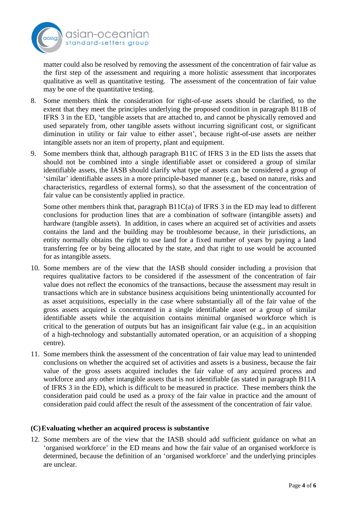

matter could also be resolved by removing the assessment of the concentration of fair value as the first step of the assessment and requiring a more holistic assessment that incorporates qualitative as well as quantitative testing. The assessment of the concentration of fair value may be one of the quantitative testing.

- 8. Some members think the consideration for right-of-use assets should be clarified, to the extent that they meet the principles underlying the proposed condition in paragraph B11B of IFRS 3 in the ED, 'tangible assets that are attached to, and cannot be physically removed and used separately from, other tangible assets without incurring significant cost, or significant diminution in utility or fair value to either asset', because right-of-use assets are neither intangible assets nor an item of property, plant and equipment.
- 9. Some members think that, although paragraph B11C of IFRS 3 in the ED lists the assets that should not be combined into a single identifiable asset or considered a group of similar identifiable assets, the IASB should clarify what type of assets can be considered a group of 'similar' identifiable assets in a more principle-based manner (e.g., based on nature, risks and characteristics, regardless of external forms), so that the assessment of the concentration of fair value can be consistently applied in practice.

Some other members think that, paragraph B11C(a) of IFRS 3 in the ED may lead to different conclusions for production lines that are a combination of software (intangible assets) and hardware (tangible assets). In addition, in cases where an acquired set of activities and assets contains the land and the building may be troublesome because, in their jurisdictions, an entity normally obtains the right to use land for a fixed number of years by paying a land transferring fee or by being allocated by the state, and that right to use would be accounted for as intangible assets.

- 10. Some members are of the view that the IASB should consider including a provision that requires qualitative factors to be considered if the assessment of the concentration of fair value does not reflect the economics of the transactions, because the assessment may result in transactions which are in substance business acquisitions being unintentionally accounted for as asset acquisitions, especially in the case where substantially all of the fair value of the gross assets acquired is concentrated in a single identifiable asset or a group of similar identifiable assets while the acquisition contains minimal organised workforce which is critical to the generation of outputs but has an insignificant fair value (e.g., in an acquisition of a high-technology and substantially automated operation, or an acquisition of a shopping centre).
- 11. Some members think the assessment of the concentration of fair value may lead to unintended conclusions on whether the acquired set of activities and assets is a business, because the fair value of the gross assets acquired includes the fair value of any acquired process and workforce and any other intangible assets that is not identifiable (as stated in paragraph B11A of IFRS 3 in the ED), which is difficult to be measured in practice. These members think the consideration paid could be used as a proxy of the fair value in practice and the amount of consideration paid could affect the result of the assessment of the concentration of fair value.

## **(C)Evaluating whether an acquired process is substantive**

12. Some members are of the view that the IASB should add sufficient guidance on what an 'organised workforce' in the ED means and how the fair value of an organised workforce is determined, because the definition of an 'organised workforce' and the underlying principles are unclear.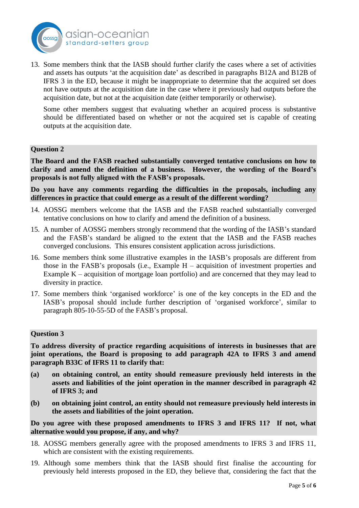

13. Some members think that the IASB should further clarify the cases where a set of activities and assets has outputs 'at the acquisition date' as described in paragraphs B12A and B12B of IFRS 3 in the ED, because it might be inappropriate to determine that the acquired set does not have outputs at the acquisition date in the case where it previously had outputs before the acquisition date, but not at the acquisition date (either temporarily or otherwise).

Some other members suggest that evaluating whether an acquired process is substantive should be differentiated based on whether or not the acquired set is capable of creating outputs at the acquisition date.

## **Question 2**

**The Board and the FASB reached substantially converged tentative conclusions on how to clarify and amend the definition of a business. However, the wording of the Board's proposals is not fully aligned with the FASB's proposals.**

**Do you have any comments regarding the difficulties in the proposals, including any differences in practice that could emerge as a result of the different wording?**

- 14. AOSSG members welcome that the IASB and the FASB reached substantially converged tentative conclusions on how to clarify and amend the definition of a business.
- 15. A number of AOSSG members strongly recommend that the wording of the IASB's standard and the FASB's standard be aligned to the extent that the IASB and the FASB reaches converged conclusions. This ensures consistent application across jurisdictions.
- 16. Some members think some illustrative examples in the IASB's proposals are different from those in the FASB's proposals (i.e., Example H – acquisition of investment properties and Example K – acquisition of mortgage loan portfolio) and are concerned that they may lead to diversity in practice.
- 17. Some members think 'organised workforce' is one of the key concepts in the ED and the IASB's proposal should include further description of 'organised workforce', similar to paragraph 805-10-55-5D of the FASB's proposal.

#### **Question 3**

**To address diversity of practice regarding acquisitions of interests in businesses that are joint operations, the Board is proposing to add paragraph 42A to IFRS 3 and amend paragraph B33C of IFRS 11 to clarify that:** 

- **(a) on obtaining control, an entity should remeasure previously held interests in the assets and liabilities of the joint operation in the manner described in paragraph 42 of IFRS 3; and**
- **(b) on obtaining joint control, an entity should not remeasure previously held interests in the assets and liabilities of the joint operation.**

**Do you agree with these proposed amendments to IFRS 3 and IFRS 11? If not, what alternative would you propose, if any, and why?**

- 18. AOSSG members generally agree with the proposed amendments to IFRS 3 and IFRS 11, which are consistent with the existing requirements.
- 19. Although some members think that the IASB should first finalise the accounting for previously held interests proposed in the ED, they believe that, considering the fact that the